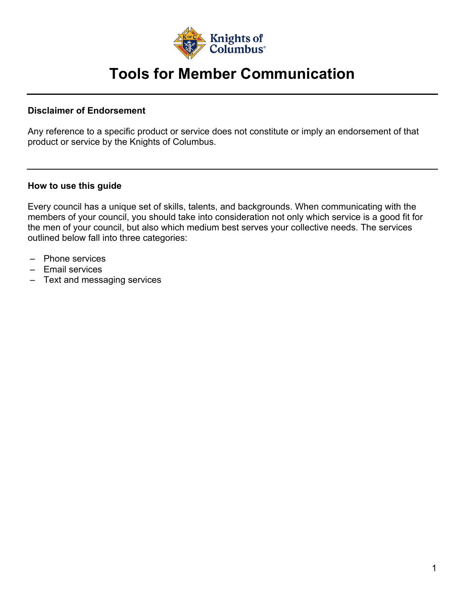

# **Tools for Member Communication**

#### **Disclaimer of Endorsement**

Any reference to a specific product or service does not constitute or imply an endorsement of that product or service by the Knights of Columbus.

#### **How to use this guide**

Every council has a unique set of skills, talents, and backgrounds. When communicating with the members of your council, you should take into consideration not only which service is a good fit for the men of your council, but also which medium best serves your collective needs. The services outlined below fall into three categories:

- Phone services
- Email services
- Text and messaging services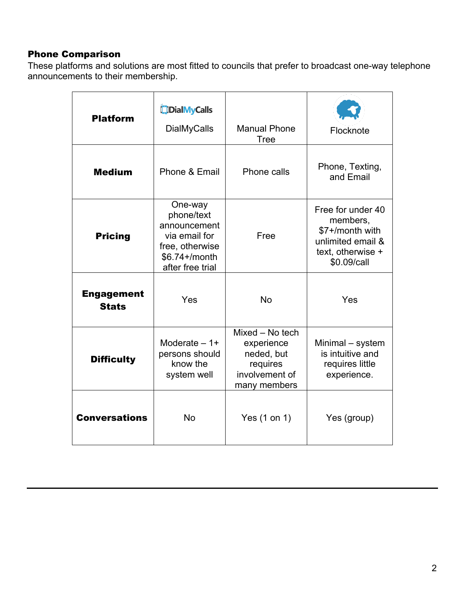### Phone Comparison

These platforms and solutions are most fitted to councils that prefer to broadcast one-way telephone announcements to their membership.

| <b>Platform</b>                   | <b>DialMyCalls</b><br><b>DialMyCalls</b>                                                                         | <b>Manual Phone</b><br><b>Tree</b>                                                        | Flocknote                                                                                                 |
|-----------------------------------|------------------------------------------------------------------------------------------------------------------|-------------------------------------------------------------------------------------------|-----------------------------------------------------------------------------------------------------------|
| <b>Medium</b>                     | Phone & Email                                                                                                    | Phone calls                                                                               | Phone, Texting,<br>and Email                                                                              |
| <b>Pricing</b>                    | One-way<br>phone/text<br>announcement<br>via email for<br>free, otherwise<br>$$6.74+$ /month<br>after free trial | Free                                                                                      | Free for under 40<br>members,<br>\$7+/month with<br>unlimited email &<br>text, otherwise +<br>\$0.09/call |
| <b>Engagement</b><br><b>Stats</b> | Yes                                                                                                              | <b>No</b>                                                                                 | Yes                                                                                                       |
| <b>Difficulty</b>                 | Moderate $-1+$<br>persons should<br>know the<br>system well                                                      | Mixed - No tech<br>experience<br>neded, but<br>requires<br>involvement of<br>many members | Minimal - system<br>is intuitive and<br>requires little<br>experience.                                    |
| <b>Conversations</b>              | <b>No</b>                                                                                                        | Yes (1 on 1)                                                                              | Yes (group)                                                                                               |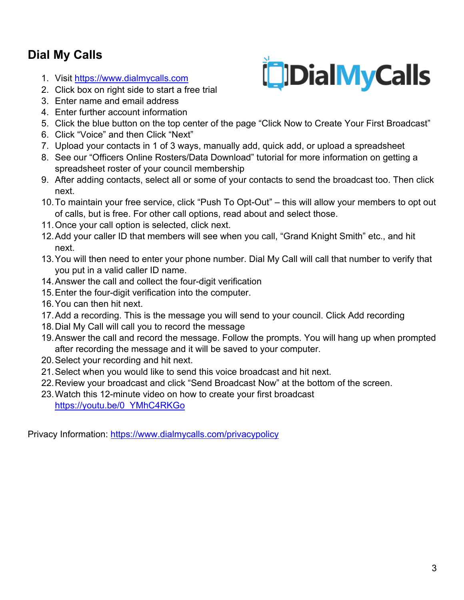# **Dial My Calls**

- 1. Visit https://www.dialmycalls.com
- 2. Click box on right side to start a free trial
- 3. Enter name and email address
- 4. Enter further account information
- 5. Click the blue button on the top center of the page "Click Now to Create Your First Broadcast"
- 6. Click "Voice" and then Click "Next"
- 7. Upload your contacts in 1 of 3 ways, manually add, quick add, or upload a spreadsheet
- 8. See our "Officers Online Rosters/Data Download" tutorial for more information on getting a spreadsheet roster of your council membership
- 9. After adding contacts, select all or some of your contacts to send the broadcast too. Then click next.
- 10.To maintain your free service, click "Push To Opt-Out" this will allow your members to opt out of calls, but is free. For other call options, read about and select those.
- 11.Once your call option is selected, click next.
- 12.Add your caller ID that members will see when you call, "Grand Knight Smith" etc., and hit next.
- 13.You will then need to enter your phone number. Dial My Call will call that number to verify that you put in a valid caller ID name.
- 14.Answer the call and collect the four-digit verification
- 15.Enter the four-digit verification into the computer.
- 16.You can then hit next.
- 17.Add a recording. This is the message you will send to your council. Click Add recording
- 18.Dial My Call will call you to record the message
- 19.Answer the call and record the message. Follow the prompts. You will hang up when prompted after recording the message and it will be saved to your computer.
- 20.Select your recording and hit next.
- 21.Select when you would like to send this voice broadcast and hit next.
- 22.Review your broadcast and click "Send Broadcast Now" at the bottom of the screen.
- 23.Watch this 12-minute video on how to create your first broadcast https://youtu.be/0\_YMhC4RKGo

Privacy Information: https://www.dialmycalls.com/privacypolicy

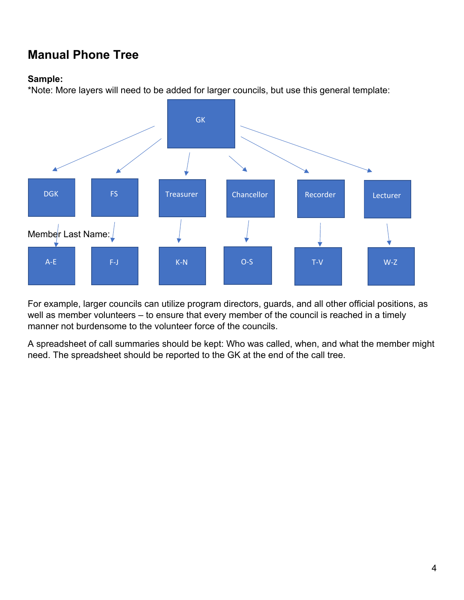### **Manual Phone Tree**

#### **Sample:**

\*Note: More layers will need to be added for larger councils, but use this general template:



For example, larger councils can utilize program directors, guards, and all other official positions, as well as member volunteers – to ensure that every member of the council is reached in a timely manner not burdensome to the volunteer force of the councils.

A spreadsheet of call summaries should be kept: Who was called, when, and what the member might need. The spreadsheet should be reported to the GK at the end of the call tree.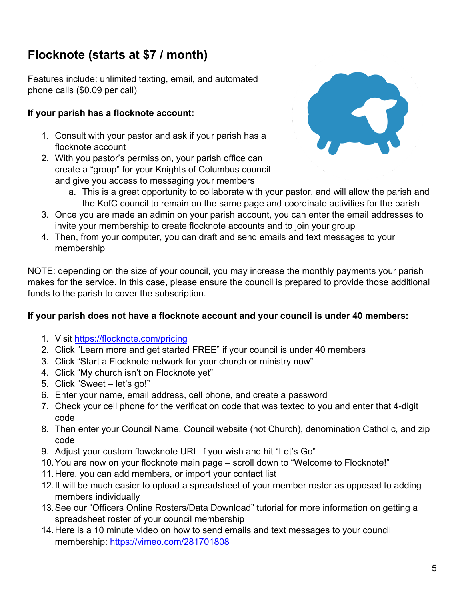## **Flocknote (starts at \$7 / month)**

Features include: unlimited texting, email, and automated phone calls (\$0.09 per call)

#### **If your parish has a flocknote account:**

- 1. Consult with your pastor and ask if your parish has a flocknote account
- 2. With you pastor's permission, your parish office can create a "group" for your Knights of Columbus council and give you access to messaging your members



- a. This is a great opportunity to collaborate with your pastor, and will allow the parish and the KofC council to remain on the same page and coordinate activities for the parish
- 3. Once you are made an admin on your parish account, you can enter the email addresses to invite your membership to create flocknote accounts and to join your group
- 4. Then, from your computer, you can draft and send emails and text messages to your membership

NOTE: depending on the size of your council, you may increase the monthly payments your parish makes for the service. In this case, please ensure the council is prepared to provide those additional funds to the parish to cover the subscription.

### **If your parish does not have a flocknote account and your council is under 40 members:**

- 1. Visit https://flocknote.com/pricing
- 2. Click "Learn more and get started FREE" if your council is under 40 members
- 3. Click "Start a Flocknote network for your church or ministry now"
- 4. Click "My church isn't on Flocknote yet"
- 5. Click "Sweet let's go!"
- 6. Enter your name, email address, cell phone, and create a password
- 7. Check your cell phone for the verification code that was texted to you and enter that 4-digit code
- 8. Then enter your Council Name, Council website (not Church), denomination Catholic, and zip code
- 9. Adjust your custom flowcknote URL if you wish and hit "Let's Go"
- 10.You are now on your flocknote main page scroll down to "Welcome to Flocknote!"
- 11.Here, you can add members, or import your contact list
- 12.It will be much easier to upload a spreadsheet of your member roster as opposed to adding members individually
- 13.See our "Officers Online Rosters/Data Download" tutorial for more information on getting a spreadsheet roster of your council membership
- 14.Here is a 10 minute video on how to send emails and text messages to your council membership: https://vimeo.com/281701808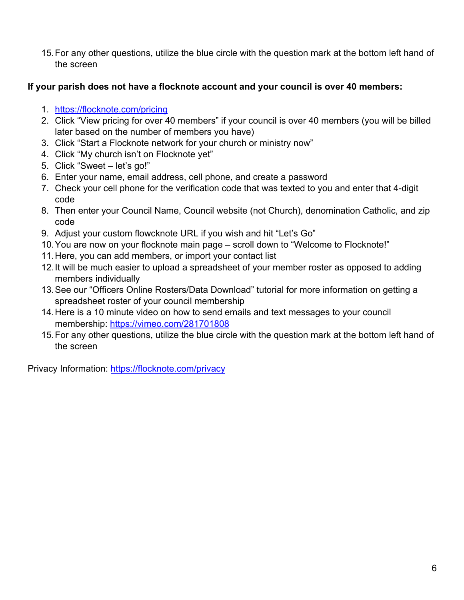15.For any other questions, utilize the blue circle with the question mark at the bottom left hand of the screen

#### **If your parish does not have a flocknote account and your council is over 40 members:**

- 1. https://flocknote.com/pricing
- 2. Click "View pricing for over 40 members" if your council is over 40 members (you will be billed later based on the number of members you have)
- 3. Click "Start a Flocknote network for your church or ministry now"
- 4. Click "My church isn't on Flocknote yet"
- 5. Click "Sweet let's go!"
- 6. Enter your name, email address, cell phone, and create a password
- 7. Check your cell phone for the verification code that was texted to you and enter that 4-digit code
- 8. Then enter your Council Name, Council website (not Church), denomination Catholic, and zip code
- 9. Adjust your custom flowcknote URL if you wish and hit "Let's Go"
- 10.You are now on your flocknote main page scroll down to "Welcome to Flocknote!"
- 11.Here, you can add members, or import your contact list
- 12.It will be much easier to upload a spreadsheet of your member roster as opposed to adding members individually
- 13.See our "Officers Online Rosters/Data Download" tutorial for more information on getting a spreadsheet roster of your council membership
- 14.Here is a 10 minute video on how to send emails and text messages to your council membership: https://vimeo.com/281701808
- 15.For any other questions, utilize the blue circle with the question mark at the bottom left hand of the screen

Privacy Information: https://flocknote.com/privacy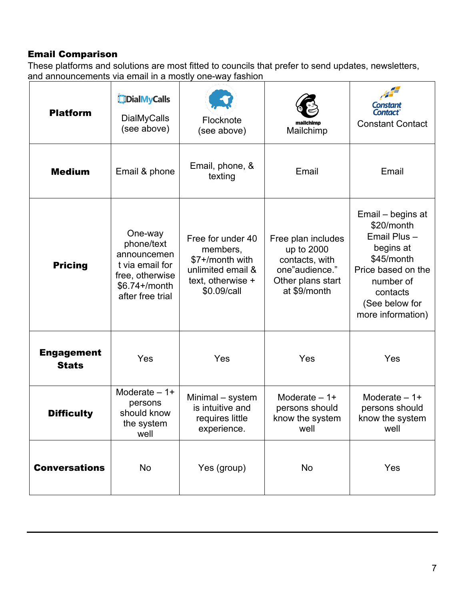### Email Comparison

These platforms and solutions are most fitted to councils that prefer to send updates, newsletters, and announcements via email in a mostly one-way fashion

| <b>Platform</b>                   | [DialMyCalls<br><b>DialMyCalls</b><br>(see above)                                                                 | Flocknote<br>(see above)                                                                                  | mailchimp<br>Mailchimp                                                                                    | Constant<br><b>Contact</b><br><b>Constant Contact</b>                                                                                                           |
|-----------------------------------|-------------------------------------------------------------------------------------------------------------------|-----------------------------------------------------------------------------------------------------------|-----------------------------------------------------------------------------------------------------------|-----------------------------------------------------------------------------------------------------------------------------------------------------------------|
| <b>Medium</b>                     | Email & phone                                                                                                     | Email, phone, &<br>texting                                                                                | Email                                                                                                     | Email                                                                                                                                                           |
| <b>Pricing</b>                    | One-way<br>phone/text<br>announcemen<br>t via email for<br>free, otherwise<br>$$6.74+$ /month<br>after free trial | Free for under 40<br>members,<br>\$7+/month with<br>unlimited email &<br>text, otherwise +<br>\$0.09/call | Free plan includes<br>up to 2000<br>contacts, with<br>one"audience."<br>Other plans start<br>at \$9/month | Email – begins at<br>\$20/month<br>Email Plus-<br>begins at<br>\$45/month<br>Price based on the<br>number of<br>contacts<br>(See below for<br>more information) |
| <b>Engagement</b><br><b>Stats</b> | Yes                                                                                                               | Yes                                                                                                       | Yes                                                                                                       | Yes                                                                                                                                                             |
| <b>Difficulty</b>                 | Moderate $-1+$<br>persons<br>should know<br>the system<br>well                                                    | Minimal - system<br>is intuitive and<br>requires little<br>experience.                                    | Moderate $-1+$<br>persons should<br>know the system<br>well                                               | Moderate $-1+$<br>persons should<br>know the system<br>well                                                                                                     |
| <b>Conversations</b>              | No                                                                                                                | Yes (group)                                                                                               | No                                                                                                        | Yes                                                                                                                                                             |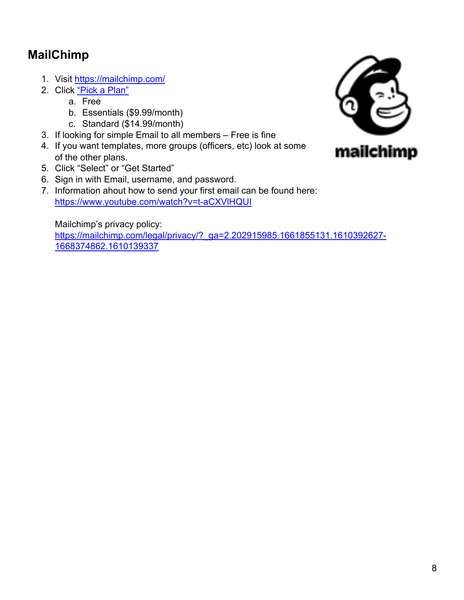## **MailChimp**

- 1. Visit https://mailchimp.com/
- 2. Click "Pick a Plan"
	- a. Free
	- b. Essentials (\$9.99/month)
	- c. Standard (\$14.99/month)
- 3. If looking for simple Email to all members Free is fine
- 4. If you want templates, more groups (officers, etc) look at some of the other plans.
- 5. Click "Select" or "Get Started"
- 6. Sign in with Email, username, and password.
- 7. Information ahout how to send your first email can be found here: https://www.youtube.com/watch?v=t-aCXVlHQUI

Mailchimp's privacy policy:

https://mailchimp.com/legal/privacy/?\_ga=2.202915985.1661855131.1610392627-1668374862.1610139337

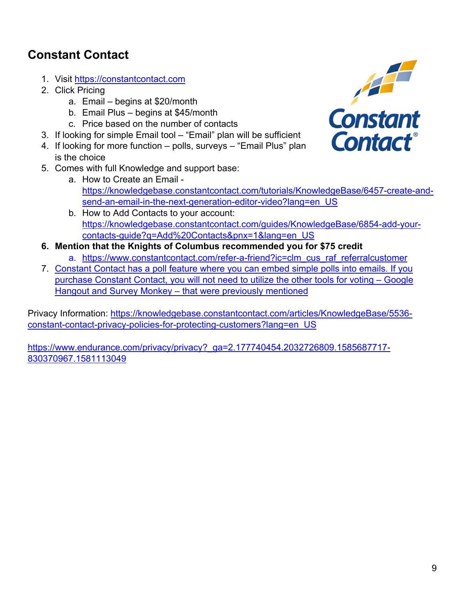### **Constant Contact**

- 1. Visit https://constantcontact.com
- 2. Click Pricing
	- a. Email begins at \$20/month
	- b. Email Plus begins at \$45/month
	- c. Price based on the number of contacts
- 3. If looking for simple Email tool "Email" plan will be sufficient
- 4. If looking for more function polls, surveys "Email Plus" plan is the choice
- 5. Comes with full Knowledge and support base:
	- a. How to Create an Email https://knowledgebase.constantcontact.com/tutorials/KnowledgeBase/6457-create-andsend-an-email-in-the-next-generation-editor-video?lang=en\_US
	- b. How to Add Contacts to your account: https://knowledgebase.constantcontact.com/guides/KnowledgeBase/6854-add-yourcontacts-guide?q=Add%20Contacts&pnx=1&lang=en\_US
- **6. Mention that the Knights of Columbus recommended you for \$75 credit** a. https://www.constantcontact.com/refer-a-friend?ic=clm\_cus\_raf\_referralcustomer
- 7. Constant Contact has a poll feature where you can embed simple polls into emails. If you purchase Constant Contact, you will not need to utilize the other tools for voting – Google Hangout and Survey Monkey – that were previously mentioned

Privacy Information: https://knowledgebase.constantcontact.com/articles/KnowledgeBase/5536 constant-contact-privacy-policies-for-protecting-customers?lang=en\_US

https://www.endurance.com/privacy/privacy?\_ga=2.177740454.2032726809.1585687717-830370967.1581113049

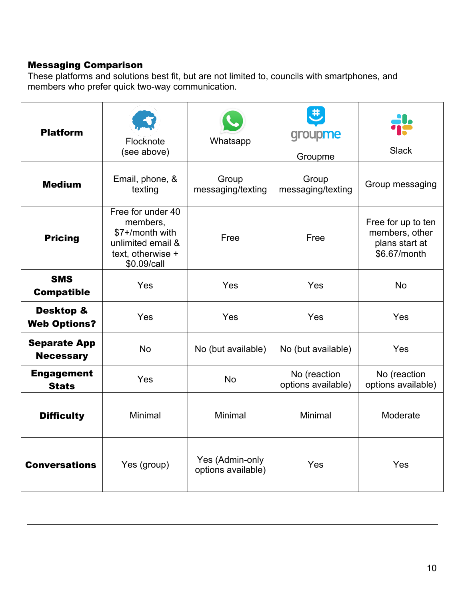#### Messaging Comparison

These platforms and solutions best fit, but are not limited to, councils with smartphones, and members who prefer quick two-way communication.

| <b>Platform</b>                             | Flocknote<br>(see above)                                                                                  | Whatsapp                              | groupme<br>Groupme                 | <b>Slack</b>                                                           |
|---------------------------------------------|-----------------------------------------------------------------------------------------------------------|---------------------------------------|------------------------------------|------------------------------------------------------------------------|
| <b>Medium</b>                               | Email, phone, &<br>texting                                                                                | Group<br>messaging/texting            | Group<br>messaging/texting         | Group messaging                                                        |
| <b>Pricing</b>                              | Free for under 40<br>members,<br>\$7+/month with<br>unlimited email &<br>text, otherwise +<br>\$0.09/call | Free                                  | Free                               | Free for up to ten<br>members, other<br>plans start at<br>\$6.67/month |
| <b>SMS</b><br><b>Compatible</b>             | Yes                                                                                                       | Yes                                   | Yes                                | <b>No</b>                                                              |
| <b>Desktop &amp;</b><br><b>Web Options?</b> | Yes                                                                                                       | Yes                                   | Yes                                | Yes                                                                    |
| <b>Separate App</b><br><b>Necessary</b>     | <b>No</b>                                                                                                 | No (but available)                    | No (but available)                 | Yes                                                                    |
| <b>Engagement</b><br><b>Stats</b>           | Yes                                                                                                       | <b>No</b>                             | No (reaction<br>options available) | No (reaction<br>options available)                                     |
| <b>Difficulty</b>                           | Minimal                                                                                                   | Minimal                               | Minimal                            | Moderate                                                               |
| <b>Conversations</b>                        | Yes (group)                                                                                               | Yes (Admin-only<br>options available) | Yes                                | Yes                                                                    |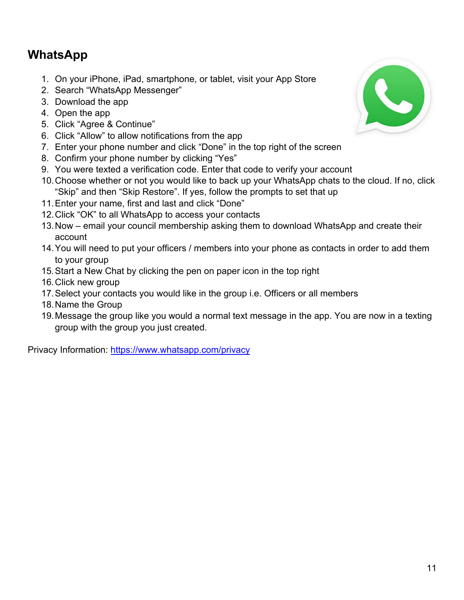### **WhatsApp**

- 1. On your iPhone, iPad, smartphone, or tablet, visit your App Store
- 2. Search "WhatsApp Messenger"
- 3. Download the app
- 4. Open the app
- 5. Click "Agree & Continue"
- 6. Click "Allow" to allow notifications from the app
- 7. Enter your phone number and click "Done" in the top right of the screen
- 8. Confirm your phone number by clicking "Yes"
- 9. You were texted a verification code. Enter that code to verify your account
- 10.Choose whether or not you would like to back up your WhatsApp chats to the cloud. If no, click "Skip" and then "Skip Restore". If yes, follow the prompts to set that up
- 11.Enter your name, first and last and click "Done"
- 12.Click "OK" to all WhatsApp to access your contacts
- 13.Now email your council membership asking them to download WhatsApp and create their account
- 14.You will need to put your officers / members into your phone as contacts in order to add them to your group
- 15.Start a New Chat by clicking the pen on paper icon in the top right
- 16.Click new group
- 17.Select your contacts you would like in the group i.e. Officers or all members
- 18.Name the Group
- 19.Message the group like you would a normal text message in the app. You are now in a texting group with the group you just created.

Privacy Information: https://www.whatsapp.com/privacy

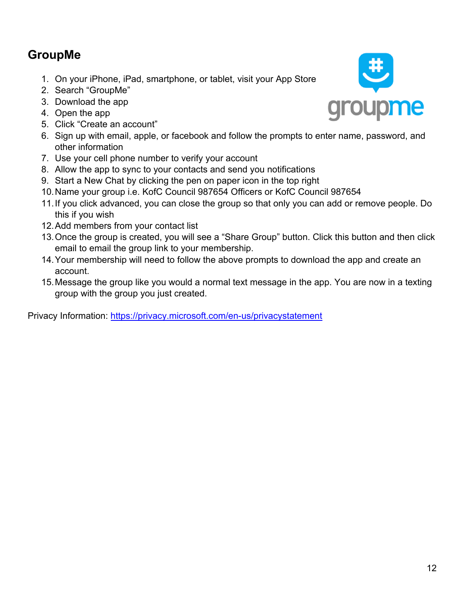### **GroupMe**

- 1. On your iPhone, iPad, smartphone, or tablet, visit your App Store
- 2. Search "GroupMe"
- 3. Download the app
- 4. Open the app
- 5. Click "Create an account"
- 6. Sign up with email, apple, or facebook and follow the prompts to enter name, password, and other information
- 7. Use your cell phone number to verify your account
- 8. Allow the app to sync to your contacts and send you notifications
- 9. Start a New Chat by clicking the pen on paper icon in the top right
- 10.Name your group i.e. KofC Council 987654 Officers or KofC Council 987654
- 11.If you click advanced, you can close the group so that only you can add or remove people. Do this if you wish
- 12.Add members from your contact list
- 13.Once the group is created, you will see a "Share Group" button. Click this button and then click email to email the group link to your membership.
- 14.Your membership will need to follow the above prompts to download the app and create an account.
- 15.Message the group like you would a normal text message in the app. You are now in a texting group with the group you just created.

Privacy Information: https://privacy.microsoft.com/en-us/privacystatement